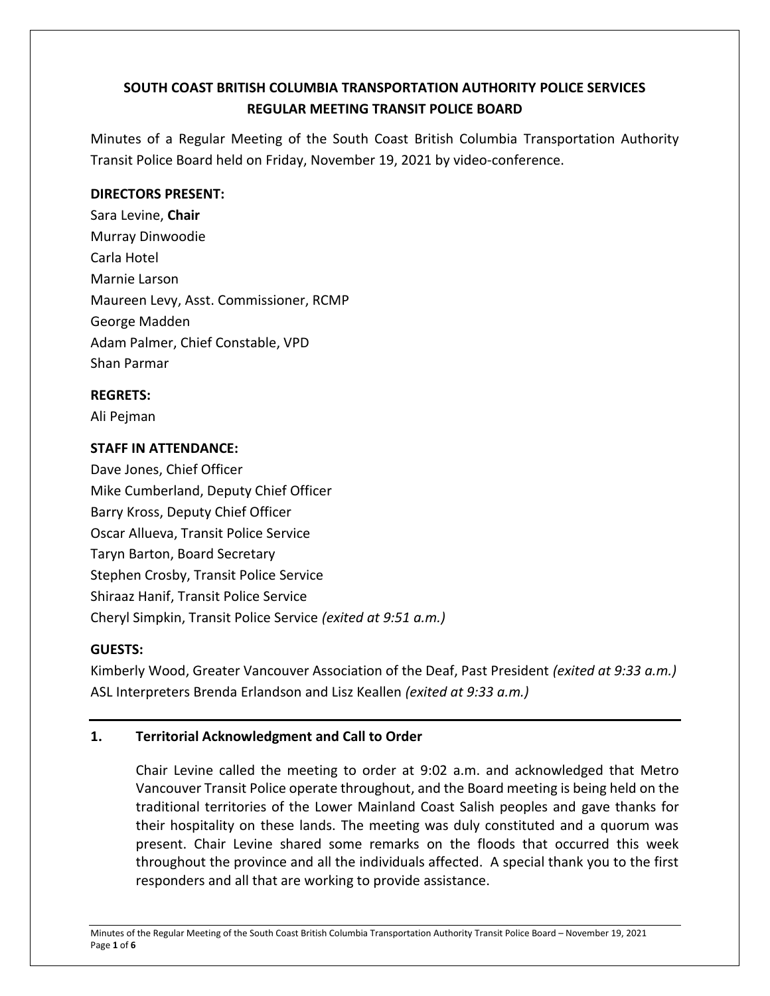# **SOUTH COAST BRITISH COLUMBIA TRANSPORTATION AUTHORITY POLICE SERVICES REGULAR MEETING TRANSIT POLICE BOARD**

Minutes of a Regular Meeting of the South Coast British Columbia Transportation Authority Transit Police Board held on Friday, November 19, 2021 by video-conference.

### **DIRECTORS PRESENT:**

Sara Levine, **Chair** Murray Dinwoodie Carla Hotel Marnie Larson Maureen Levy, Asst. Commissioner, RCMP George Madden Adam Palmer, Chief Constable, VPD Shan Parmar

### **REGRETS:**

Ali Pejman

# **STAFF IN ATTENDANCE:**

Dave Jones, Chief Officer Mike Cumberland, Deputy Chief Officer Barry Kross, Deputy Chief Officer Oscar Allueva, Transit Police Service Taryn Barton, Board Secretary Stephen Crosby, Transit Police Service Shiraaz Hanif, Transit Police Service Cheryl Simpkin, Transit Police Service *(exited at 9:51 a.m.)*

# **GUESTS:**

Kimberly Wood, Greater Vancouver Association of the Deaf, Past President *(exited at 9:33 a.m.)* ASL Interpreters Brenda Erlandson and Lisz Keallen *(exited at 9:33 a.m.)*

# **1. Territorial Acknowledgment and Call to Order**

Chair Levine called the meeting to order at 9:02 a.m. and acknowledged that Metro Vancouver Transit Police operate throughout, and the Board meeting is being held on the traditional territories of the Lower Mainland Coast Salish peoples and gave thanks for their hospitality on these lands. The meeting was duly constituted and a quorum was present. Chair Levine shared some remarks on the floods that occurred this week throughout the province and all the individuals affected. A special thank you to the first responders and all that are working to provide assistance.

Minutes of the Regular Meeting of the South Coast British Columbia Transportation Authority Transit Police Board – November 19, 2021 Page **1** of **6**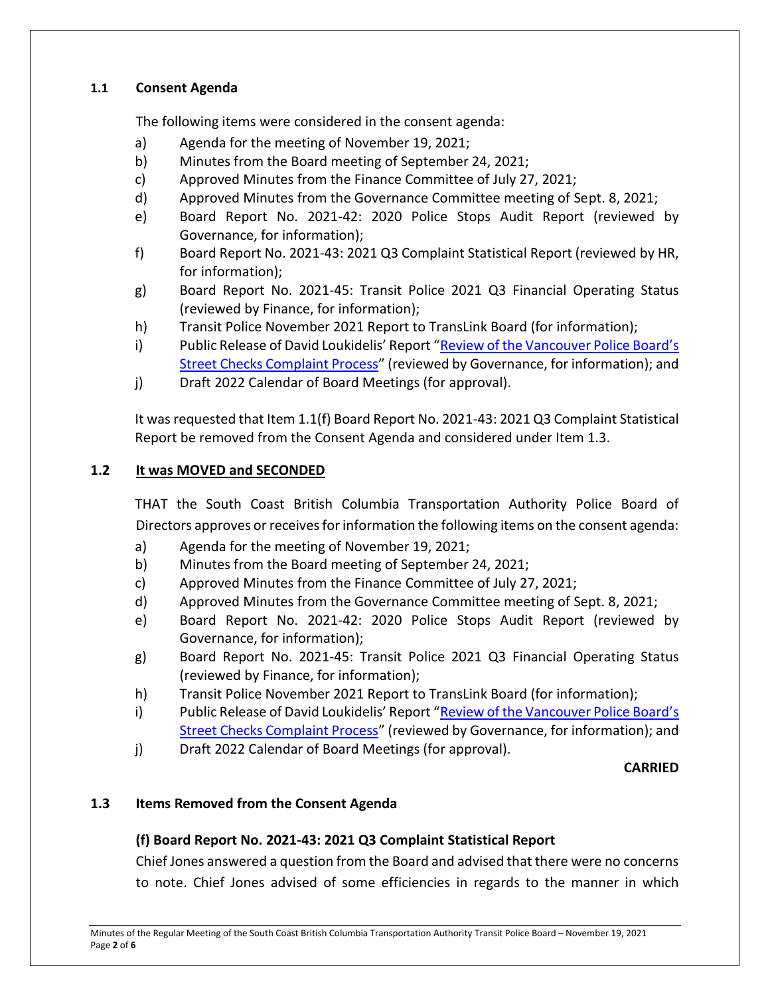### **1.1 Consent Agenda**

The following items were considered in the consent agenda:

- a) Agenda for the meeting of November 19, 2021;
- b) Minutes from the Board meeting of September 24, 2021;
- c) Approved Minutes from the Finance Committee of July 27, 2021;
- d) Approved Minutes from the Governance Committee meeting of Sept. 8, 2021;
- e) Board Report No. 2021-42: 2020 Police Stops Audit Report (reviewed by Governance, for information);
- f) Board Report No. 2021-43: 2021 Q3 Complaint Statistical Report (reviewed by HR, for information);
- g) Board Report No. 2021-45: Transit Police 2021 Q3 Financial Operating Status (reviewed by Finance, for information);
- h) Transit Police November 2021 Report to TransLink Board (for information);
- i) Public Release of David Loukidelis' Report "Review of the Vancouver Police Board's [Street Checks Complaint Process](https://www2.gov.bc.ca/gov/content/justice/criminal-justice/policing-in-bc/publications-statistics-legislation/publications/independent-reports)" (reviewed by Governance, for information); and
- j) Draft 2022 Calendar of Board Meetings (for approval).

It was requested that Item 1.1(f) Board Report No. 2021-43: 2021 Q3 Complaint Statistical Report be removed from the Consent Agenda and considered under Item 1.3.

# **1.2 It was MOVED and SECONDED**

THAT the South Coast British Columbia Transportation Authority Police Board of Directors approves or receives for information the following items on the consent agenda:

- a) Agenda for the meeting of November 19, 2021;
- b) Minutes from the Board meeting of September 24, 2021;
- c) Approved Minutes from the Finance Committee of July 27, 2021;
- d) Approved Minutes from the Governance Committee meeting of Sept. 8, 2021;
- e) Board Report No. 2021-42: 2020 Police Stops Audit Report (reviewed by Governance, for information);
- g) Board Report No. 2021-45: Transit Police 2021 Q3 Financial Operating Status (reviewed by Finance, for information);
- h) Transit Police November 2021 Report to TransLink Board (for information);
- i) Public Release of David Loukidelis' Report ["Review of the Vancouver Police Board's](https://www2.gov.bc.ca/gov/content/justice/criminal-justice/policing-in-bc/publications-statistics-legislation/publications/independent-reports)  [Street Checks Complaint Process](https://www2.gov.bc.ca/gov/content/justice/criminal-justice/policing-in-bc/publications-statistics-legislation/publications/independent-reports)" (reviewed by Governance, for information); and
- j) Draft 2022 Calendar of Board Meetings (for approval).

#### **CARRIED**

# **1.3 Items Removed from the Consent Agenda**

# **(f) Board Report No. 2021-43: 2021 Q3 Complaint Statistical Report**

Chief Jones answered a question from the Board and advised that there were no concerns to note. Chief Jones advised of some efficiencies in regards to the manner in which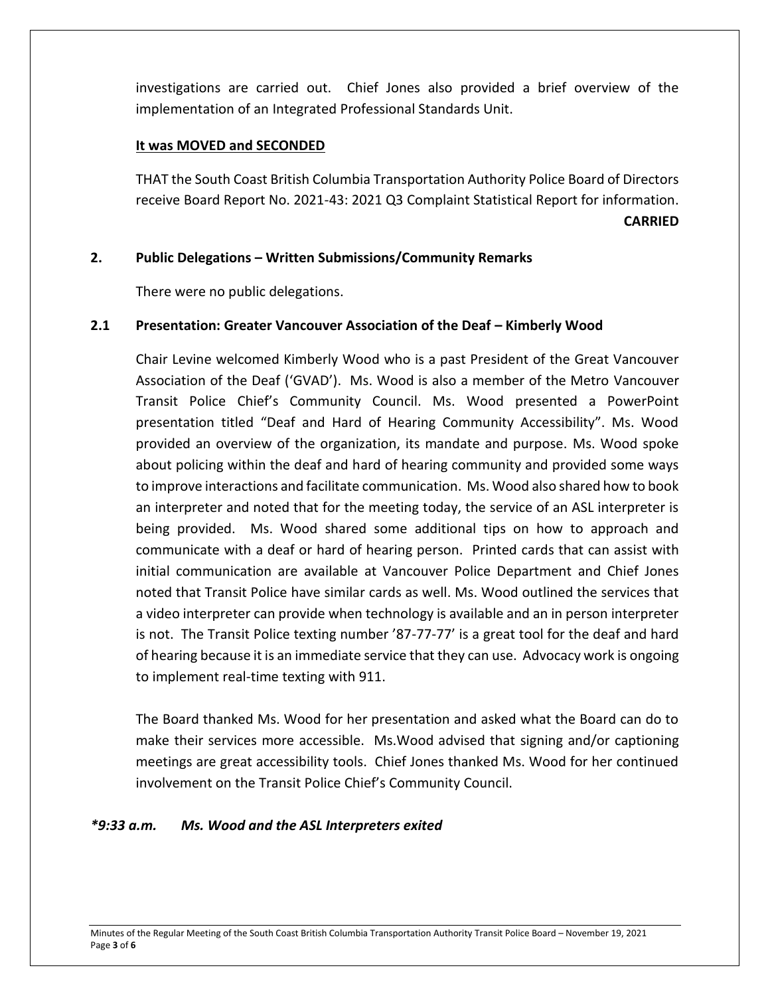investigations are carried out. Chief Jones also provided a brief overview of the implementation of an Integrated Professional Standards Unit.

### **It was MOVED and SECONDED**

THAT the South Coast British Columbia Transportation Authority Police Board of Directors receive Board Report No. 2021-43: 2021 Q3 Complaint Statistical Report for information. **CARRIED**

### **2. Public Delegations – Written Submissions/Community Remarks**

There were no public delegations.

### **2.1 Presentation: Greater Vancouver Association of the Deaf – Kimberly Wood**

Chair Levine welcomed Kimberly Wood who is a past President of the Great Vancouver Association of the Deaf ('GVAD'). Ms. Wood is also a member of the Metro Vancouver Transit Police Chief's Community Council. Ms. Wood presented a PowerPoint presentation titled "Deaf and Hard of Hearing Community Accessibility". Ms. Wood provided an overview of the organization, its mandate and purpose. Ms. Wood spoke about policing within the deaf and hard of hearing community and provided some ways to improve interactions and facilitate communication. Ms. Wood also shared how to book an interpreter and noted that for the meeting today, the service of an ASL interpreter is being provided. Ms. Wood shared some additional tips on how to approach and communicate with a deaf or hard of hearing person. Printed cards that can assist with initial communication are available at Vancouver Police Department and Chief Jones noted that Transit Police have similar cards as well. Ms. Wood outlined the services that a video interpreter can provide when technology is available and an in person interpreter is not. The Transit Police texting number '87-77-77' is a great tool for the deaf and hard of hearing because it is an immediate service that they can use. Advocacy work is ongoing to implement real-time texting with 911.

The Board thanked Ms. Wood for her presentation and asked what the Board can do to make their services more accessible. Ms.Wood advised that signing and/or captioning meetings are great accessibility tools. Chief Jones thanked Ms. Wood for her continued involvement on the Transit Police Chief's Community Council.

#### *\*9:33 a.m. Ms. Wood and the ASL Interpreters exited*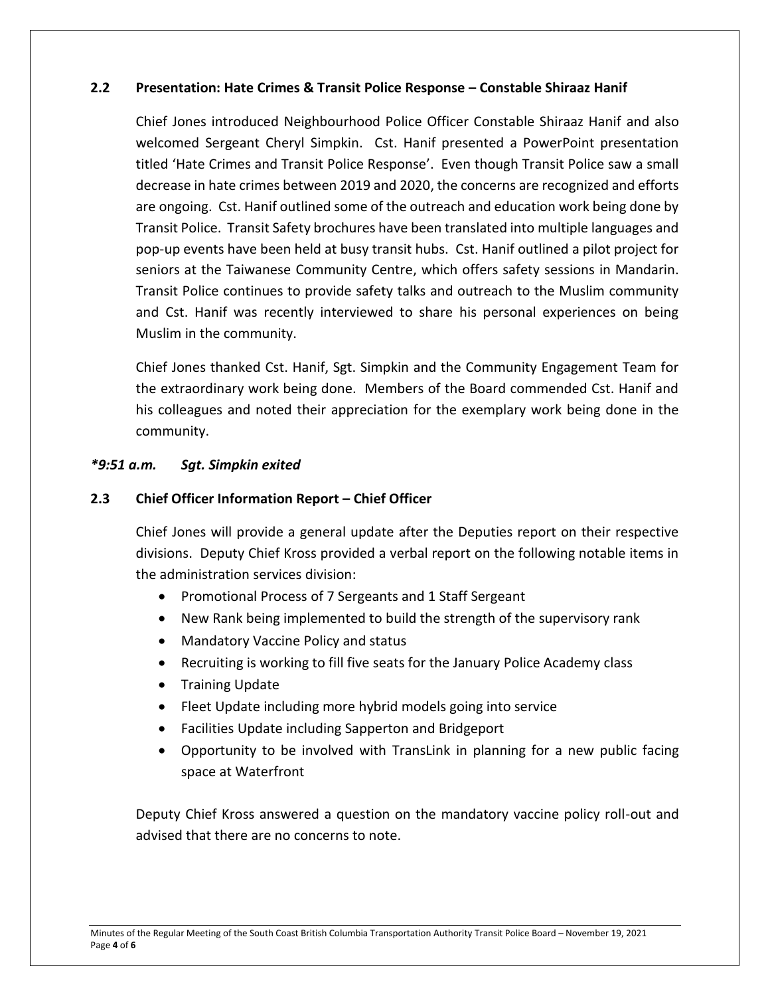#### **2.2 Presentation: Hate Crimes & Transit Police Response – Constable Shiraaz Hanif**

Chief Jones introduced Neighbourhood Police Officer Constable Shiraaz Hanif and also welcomed Sergeant Cheryl Simpkin. Cst. Hanif presented a PowerPoint presentation titled 'Hate Crimes and Transit Police Response'. Even though Transit Police saw a small decrease in hate crimes between 2019 and 2020, the concerns are recognized and efforts are ongoing. Cst. Hanif outlined some of the outreach and education work being done by Transit Police. Transit Safety brochures have been translated into multiple languages and pop-up events have been held at busy transit hubs. Cst. Hanif outlined a pilot project for seniors at the Taiwanese Community Centre, which offers safety sessions in Mandarin. Transit Police continues to provide safety talks and outreach to the Muslim community and Cst. Hanif was recently interviewed to share his personal experiences on being Muslim in the community.

Chief Jones thanked Cst. Hanif, Sgt. Simpkin and the Community Engagement Team for the extraordinary work being done. Members of the Board commended Cst. Hanif and his colleagues and noted their appreciation for the exemplary work being done in the community.

#### *\*9:51 a.m. Sgt. Simpkin exited*

#### **2.3 Chief Officer Information Report – Chief Officer**

Chief Jones will provide a general update after the Deputies report on their respective divisions. Deputy Chief Kross provided a verbal report on the following notable items in the administration services division:

- Promotional Process of 7 Sergeants and 1 Staff Sergeant
- New Rank being implemented to build the strength of the supervisory rank
- Mandatory Vaccine Policy and status
- Recruiting is working to fill five seats for the January Police Academy class
- Training Update
- Fleet Update including more hybrid models going into service
- Facilities Update including Sapperton and Bridgeport
- Opportunity to be involved with TransLink in planning for a new public facing space at Waterfront

Deputy Chief Kross answered a question on the mandatory vaccine policy roll-out and advised that there are no concerns to note.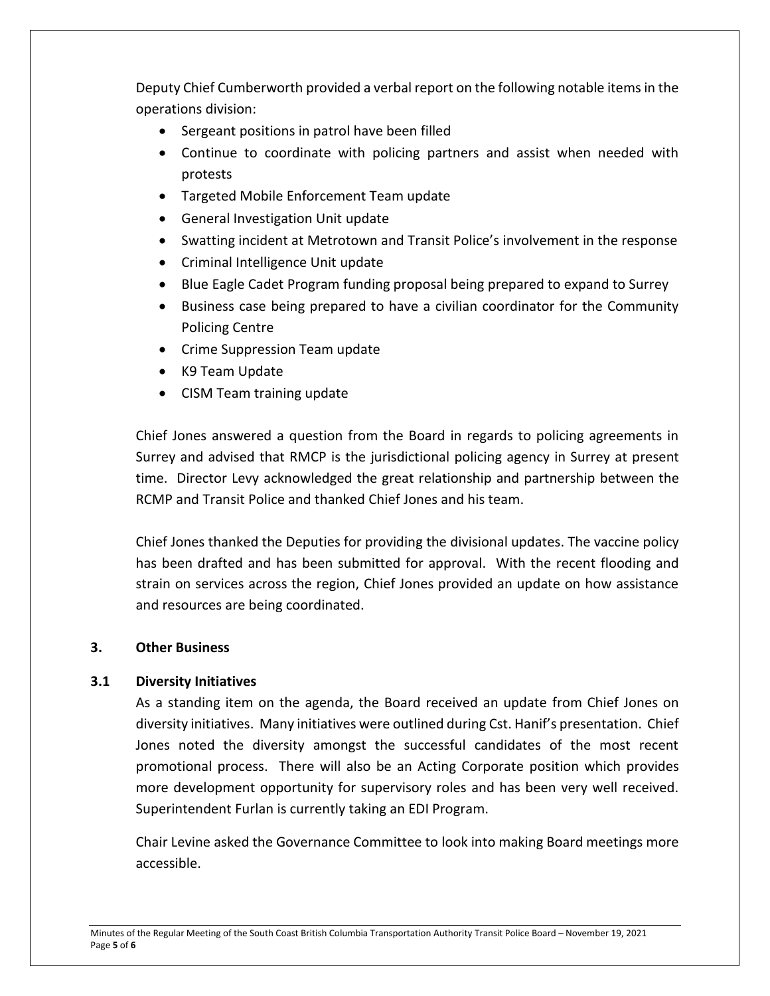Deputy Chief Cumberworth provided a verbal report on the following notable items in the operations division:

- Sergeant positions in patrol have been filled
- Continue to coordinate with policing partners and assist when needed with protests
- Targeted Mobile Enforcement Team update
- General Investigation Unit update
- Swatting incident at Metrotown and Transit Police's involvement in the response
- Criminal Intelligence Unit update
- Blue Eagle Cadet Program funding proposal being prepared to expand to Surrey
- Business case being prepared to have a civilian coordinator for the Community Policing Centre
- Crime Suppression Team update
- K9 Team Update
- CISM Team training update

Chief Jones answered a question from the Board in regards to policing agreements in Surrey and advised that RMCP is the jurisdictional policing agency in Surrey at present time. Director Levy acknowledged the great relationship and partnership between the RCMP and Transit Police and thanked Chief Jones and his team.

Chief Jones thanked the Deputies for providing the divisional updates. The vaccine policy has been drafted and has been submitted for approval. With the recent flooding and strain on services across the region, Chief Jones provided an update on how assistance and resources are being coordinated.

# **3. Other Business**

# **3.1 Diversity Initiatives**

As a standing item on the agenda, the Board received an update from Chief Jones on diversity initiatives. Many initiatives were outlined during Cst. Hanif's presentation. Chief Jones noted the diversity amongst the successful candidates of the most recent promotional process. There will also be an Acting Corporate position which provides more development opportunity for supervisory roles and has been very well received. Superintendent Furlan is currently taking an EDI Program.

Chair Levine asked the Governance Committee to look into making Board meetings more accessible.

Minutes of the Regular Meeting of the South Coast British Columbia Transportation Authority Transit Police Board – November 19, 2021 Page **5** of **6**